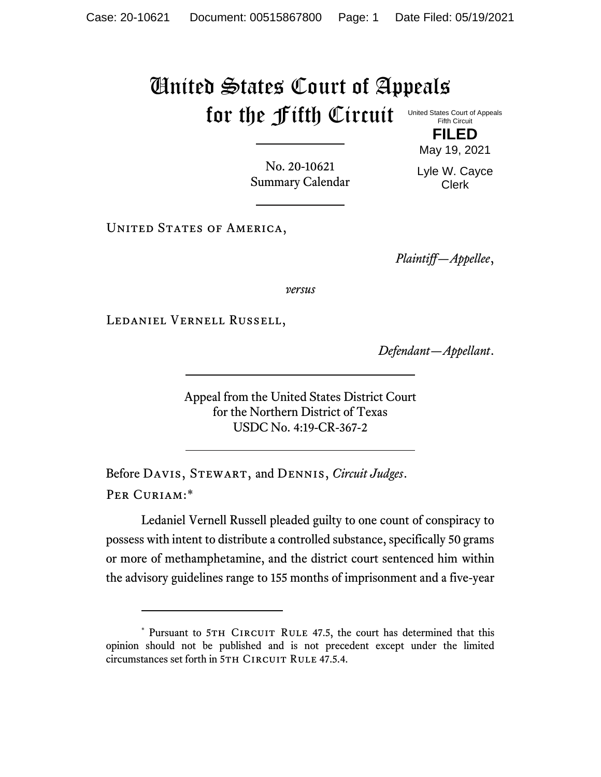## United States Court of Appeals for the Fifth Circuit United States Court of Appeals

Fifth Circuit **FILED**

May 19, 2021

No. 20-10621 Summary Calendar Lyle W. Cayce Clerk

UNITED STATES OF AMERICA,

*Plaintiff—Appellee*,

*versus*

Ledaniel Vernell Russell,

*Defendant—Appellant*.

Appeal from the United States District Court for the Northern District of Texas USDC No. 4:19-CR-367-2

Before Davis, Stewart, and Dennis, *Circuit Judges*. Per Curiam:\*

Ledaniel Vernell Russell pleaded guilty to one count of conspiracy to possess with intent to distribute a controlled substance, specifically 50 grams or more of methamphetamine, and the district court sentenced him within the advisory guidelines range to 155 months of imprisonment and a five-year

<sup>\*</sup> Pursuant to 5TH CIRCUIT RULE 47.5, the court has determined that this opinion should not be published and is not precedent except under the limited circumstances set forth in 5TH CIRCUIT RULE 47.5.4.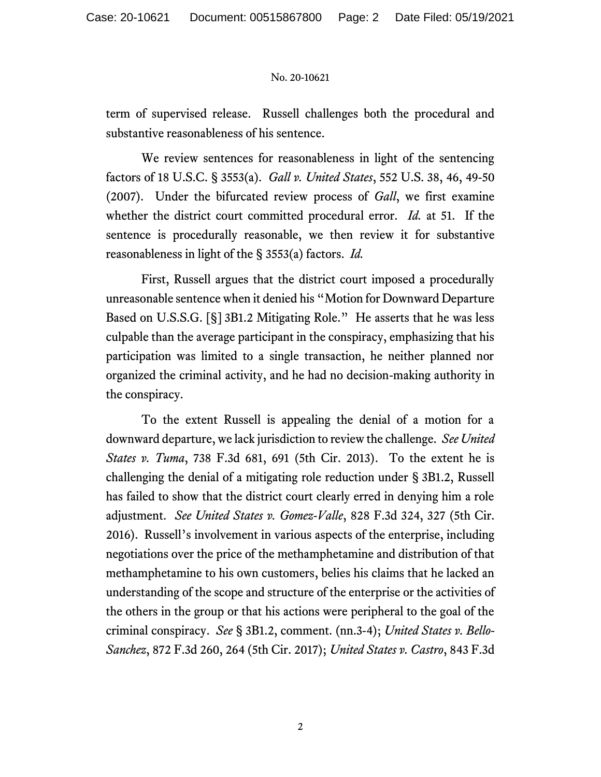## No. 20-10621

term of supervised release. Russell challenges both the procedural and substantive reasonableness of his sentence.

We review sentences for reasonableness in light of the sentencing factors of 18 U.S.C. § 3553(a). *Gall v. United States*, 552 U.S. 38, 46, 49-50 (2007). Under the bifurcated review process of *Gall*, we first examine whether the district court committed procedural error. *Id.* at 51. If the sentence is procedurally reasonable, we then review it for substantive reasonableness in light of the § 3553(a) factors. *Id.*

First, Russell argues that the district court imposed a procedurally unreasonable sentence when it denied his "Motion for Downward Departure Based on U.S.S.G. [§] 3B1.2 Mitigating Role." He asserts that he was less culpable than the average participant in the conspiracy, emphasizing that his participation was limited to a single transaction, he neither planned nor organized the criminal activity, and he had no decision-making authority in the conspiracy.

To the extent Russell is appealing the denial of a motion for a downward departure, we lack jurisdiction to review the challenge. *See United States v. Tuma*, 738 F.3d 681, 691 (5th Cir. 2013). To the extent he is challenging the denial of a mitigating role reduction under § 3B1.2, Russell has failed to show that the district court clearly erred in denying him a role adjustment. *See United States v. Gomez-Valle*, 828 F.3d 324, 327 (5th Cir. 2016). Russell's involvement in various aspects of the enterprise, including negotiations over the price of the methamphetamine and distribution of that methamphetamine to his own customers, belies his claims that he lacked an understanding of the scope and structure of the enterprise or the activities of the others in the group or that his actions were peripheral to the goal of the criminal conspiracy. *See* § 3B1.2, comment. (nn.3-4); *United States v. Bello-Sanchez*, 872 F.3d 260, 264 (5th Cir. 2017); *United States v. Castro*, 843 F.3d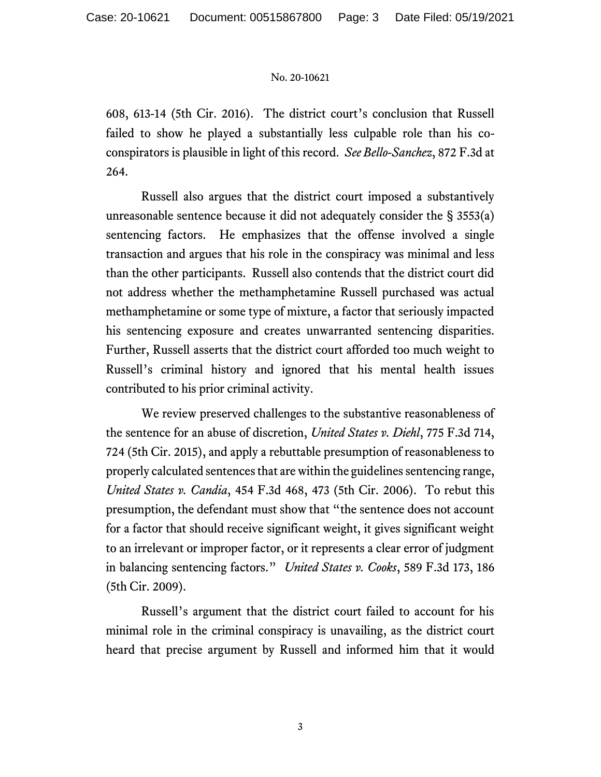## No. 20-10621

608, 613-14 (5th Cir. 2016). The district court's conclusion that Russell failed to show he played a substantially less culpable role than his coconspirators is plausible in light of this record. *See Bello-Sanchez*, 872 F.3d at 264.

Russell also argues that the district court imposed a substantively unreasonable sentence because it did not adequately consider the § 3553(a) sentencing factors. He emphasizes that the offense involved a single transaction and argues that his role in the conspiracy was minimal and less than the other participants. Russell also contends that the district court did not address whether the methamphetamine Russell purchased was actual methamphetamine or some type of mixture, a factor that seriously impacted his sentencing exposure and creates unwarranted sentencing disparities. Further, Russell asserts that the district court afforded too much weight to Russell's criminal history and ignored that his mental health issues contributed to his prior criminal activity.

We review preserved challenges to the substantive reasonableness of the sentence for an abuse of discretion, *United States v. Diehl*, 775 F.3d 714, 724 (5th Cir. 2015), and apply a rebuttable presumption of reasonableness to properly calculated sentences that are within the guidelines sentencing range, *United States v. Candia*, 454 F.3d 468, 473 (5th Cir. 2006). To rebut this presumption, the defendant must show that "the sentence does not account for a factor that should receive significant weight, it gives significant weight to an irrelevant or improper factor, or it represents a clear error of judgment in balancing sentencing factors." *United States v. Cooks*, 589 F.3d 173, 186 (5th Cir. 2009).

Russell's argument that the district court failed to account for his minimal role in the criminal conspiracy is unavailing, as the district court heard that precise argument by Russell and informed him that it would